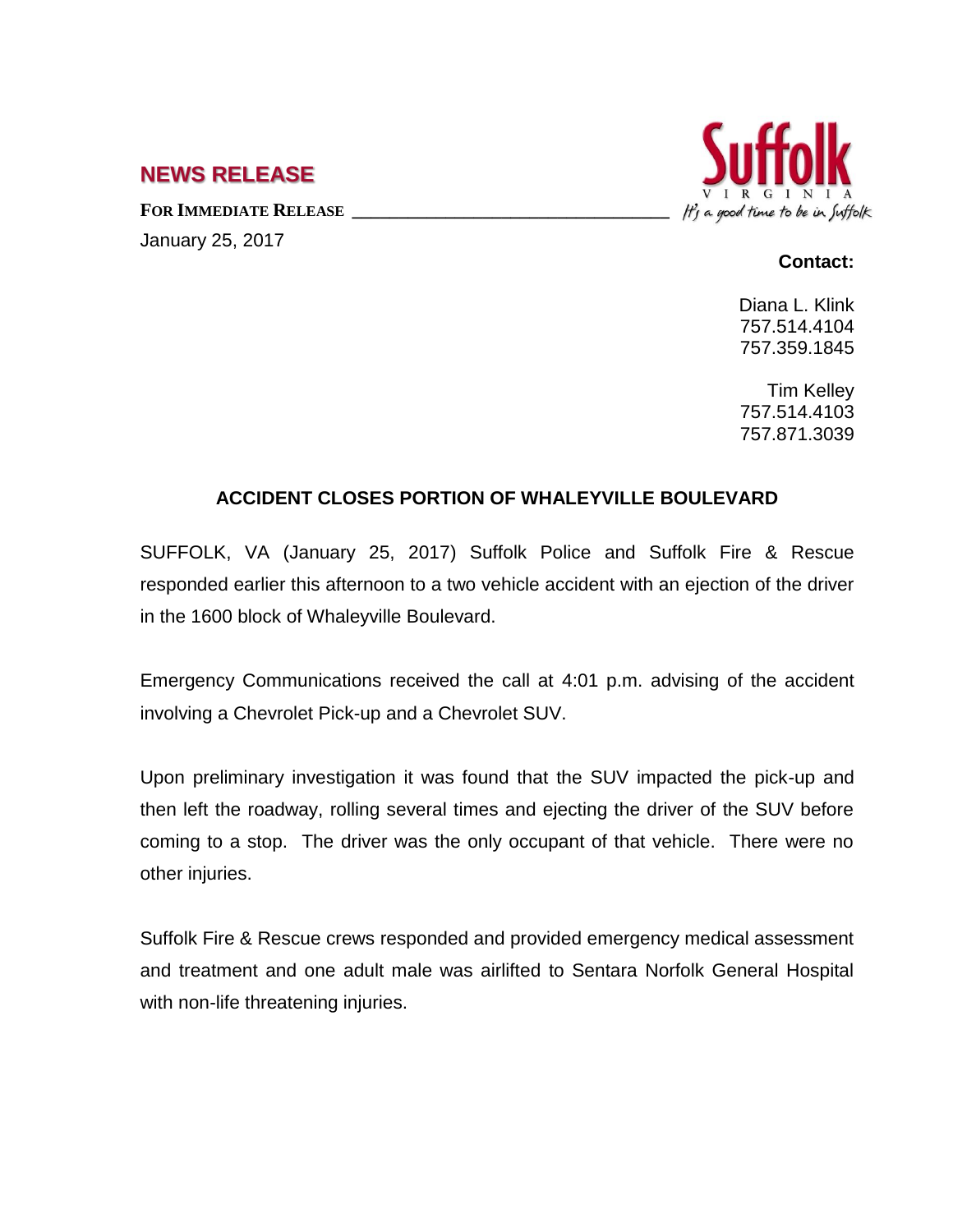## **NEWS RELEASE**

**FOR IMMEDIATE RELEASE \_\_\_\_\_\_\_\_\_\_\_\_\_\_\_\_\_\_\_\_\_\_\_\_\_\_\_\_\_\_\_\_\_\_** January 25, 2017



## **Contact:**

Diana L. Klink 757.514.4104 757.359.1845

Tim Kelley 757.514.4103 757.871.3039

## **ACCIDENT CLOSES PORTION OF WHALEYVILLE BOULEVARD**

SUFFOLK, VA (January 25, 2017) Suffolk Police and Suffolk Fire & Rescue responded earlier this afternoon to a two vehicle accident with an ejection of the driver in the 1600 block of Whaleyville Boulevard.

Emergency Communications received the call at 4:01 p.m. advising of the accident involving a Chevrolet Pick-up and a Chevrolet SUV.

Upon preliminary investigation it was found that the SUV impacted the pick-up and then left the roadway, rolling several times and ejecting the driver of the SUV before coming to a stop. The driver was the only occupant of that vehicle. There were no other injuries.

Suffolk Fire & Rescue crews responded and provided emergency medical assessment and treatment and one adult male was airlifted to Sentara Norfolk General Hospital with non-life threatening injuries.